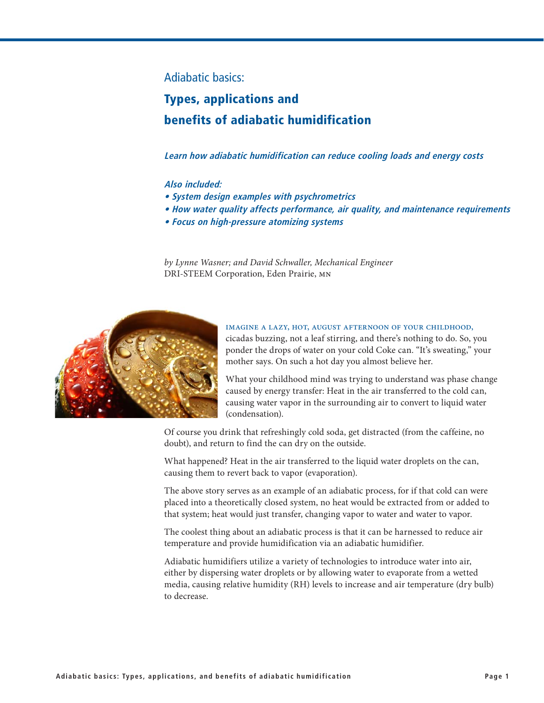### Adiabatic basics:

# **Types, applications and benefits of adiabatic humidification**

**Learn how adiabatic humidification can reduce cooling loads and energy costs**

### **Also included:**

- **System design examples with psychrometrics**
- How water quality affects performance, air quality, and maintenance requirements
- **Focus on high-pressure atomizing systems**

*by Lynne Wasner; and David Schwaller, Mechanical Engineer*  DRI-STEEM Corporation, Eden Prairie, mn



### Imagine a lazy, hot, August afternoon of your childhood,

cicadas buzzing, not a leaf stirring, and there's nothing to do. So, you ponder the drops of water on your cold Coke can. "It's sweating," your mother says. On such a hot day you almost believe her.

What your childhood mind was trying to understand was phase change caused by energy transfer: Heat in the air transferred to the cold can, causing water vapor in the surrounding air to convert to liquid water (condensation).

Of course you drink that refreshingly cold soda, get distracted (from the caffeine, no doubt), and return to find the can dry on the outside.

What happened? Heat in the air transferred to the liquid water droplets on the can, causing them to revert back to vapor (evaporation).

The above story serves as an example of an adiabatic process, for if that cold can were placed into a theoretically closed system, no heat would be extracted from or added to that system; heat would just transfer, changing vapor to water and water to vapor.

The coolest thing about an adiabatic process is that it can be harnessed to reduce air temperature and provide humidification via an adiabatic humidifier.

Adiabatic humidifiers utilize a variety of technologies to introduce water into air, either by dispersing water droplets or by allowing water to evaporate from a wetted media, causing relative humidity (RH) levels to increase and air temperature (dry bulb) to decrease.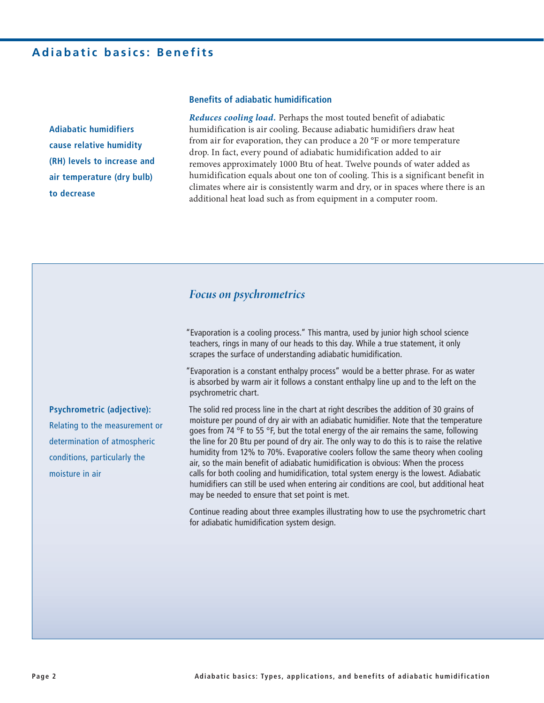**Adiabatic humidifiers cause relative humidity**  (RH) levels to increase and **air temperature (dry bulb) to decrease**

### **Benefits of adiabatic humidification**

*Reduces cooling load.* Perhaps the most touted benefit of adiabatic humidification is air cooling. Because adiabatic humidifiers draw heat from air for evaporation, they can produce a 20 °F or more temperature drop. In fact, every pound of adiabatic humidification added to air removes approximately 1000 Btu of heat. Twelve pounds of water added as humidification equals about one ton of cooling. This is a significant benefit in climates where air is consistently warm and dry, or in spaces where there is an additional heat load such as from equipment in a computer room.

### *Focus on psychrometrics*

"Evaporation is a cooling process." This mantra, used by junior high school science teachers, rings in many of our heads to this day. While a true statement, it only scrapes the surface of understanding adiabatic humidification.

"Evaporation is a constant enthalpy process" would be a better phrase. For as water is absorbed by warm air it follows a constant enthalpy line up and to the left on the psychrometric chart.

The solid red process line in the chart at right describes the addition of 30 grains of moisture per pound of dry air with an adiabatic humidifier. Note that the temperature goes from 74  $\degree$ F to 55  $\degree$ F, but the total energy of the air remains the same, following the line for 20 Btu per pound of dry air. The only way to do this is to raise the relative humidity from 12% to 70%. Evaporative coolers follow the same theory when cooling air, so the main benefit of adiabatic humidification is obvious: When the process calls for both cooling and humidification, total system energy is the lowest. Adiabatic humidifiers can still be used when entering air conditions are cool, but additional heat may be needed to ensure that set point is met.

Continue reading about three examples illustrating how to use the psychrometric chart for adiabatic humidification system design.

**Psychrometric (adjective):**  Relating to the measurement or determination of atmospheric conditions, particularly the moisture in air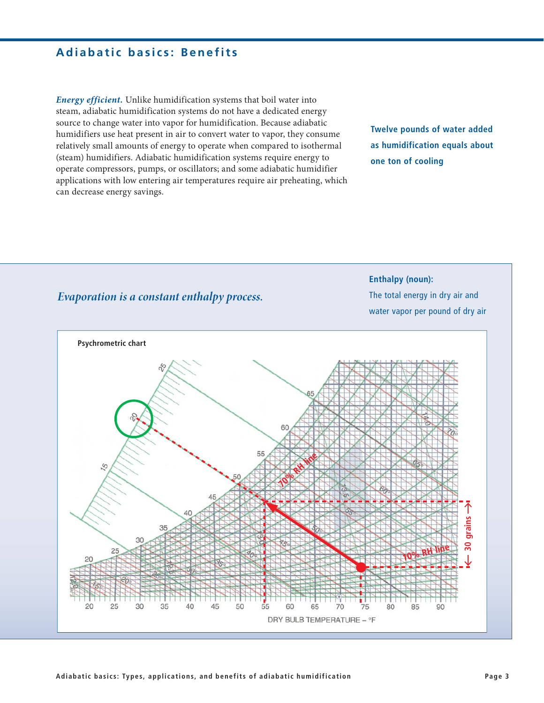# **Adiabatic basics: Benefits**

*Energy efficient.* Unlike humidification systems that boil water into steam, adiabatic humidification systems do not have a dedicated energy source to change water into vapor for humidification. Because adiabatic humidifiers use heat present in air to convert water to vapor, they consume relatively small amounts of energy to operate when compared to isothermal (steam) humidifiers. Adiabatic humidification systems require energy to operate compressors, pumps, or oscillators; and some adiabatic humidifier applications with low entering air temperatures require air preheating, which can decrease energy savings.

**Twelve pounds of water added**  as humidification equals about **one ton of cooling**

# *Evaporation is a constant enthalpy process.*

**Enthalpy (noun):** The total energy in dry air and water vapor per pound of dry air

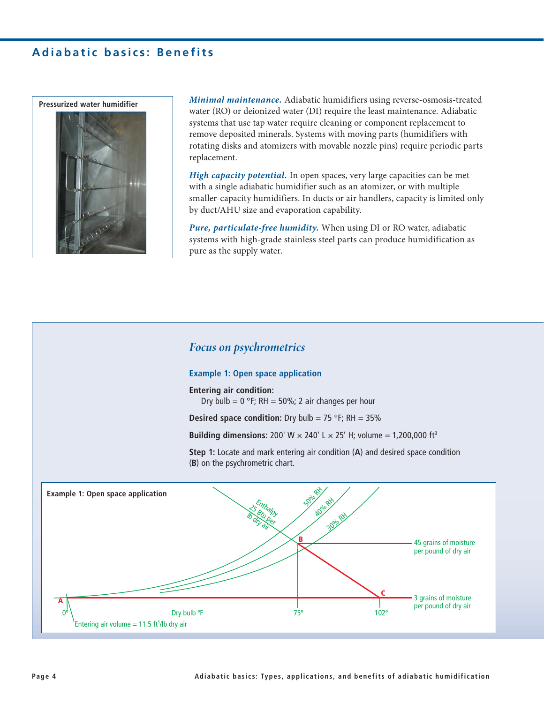# **Adiabatic basics: Benefits**



*Minimal maintenance.* Adiabatic humidifiers using reverse-osmosis-treated water (RO) or deionized water (DI) require the least maintenance. Adiabatic systems that use tap water require cleaning or component replacement to remove deposited minerals. Systems with moving parts (humidifiers with rotating disks and atomizers with movable nozzle pins) require periodic parts replacement.

*High capacity potential.* In open spaces, very large capacities can be met with a single adiabatic humidifier such as an atomizer, or with multiple smaller-capacity humidifiers. In ducts or air handlers, capacity is limited only by duct/AHU size and evaporation capability.

*Pure, particulate-free humidity.* When using DI or RO water, adiabatic systems with high-grade stainless steel parts can produce humidification as pure as the supply water.

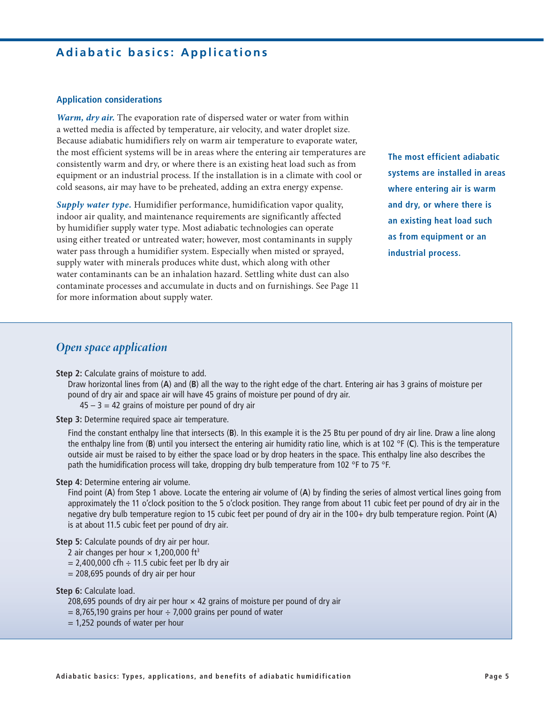# **Adiabatic basics: Applications**

#### **Application considerations**

*Warm, dry air.* The evaporation rate of dispersed water or water from within a wetted media is affected by temperature, air velocity, and water droplet size. Because adiabatic humidifiers rely on warm air temperature to evaporate water, the most efficient systems will be in areas where the entering air temperatures are consistently warm and dry, or where there is an existing heat load such as from equipment or an industrial process. If the installation is in a climate with cool or cold seasons, air may have to be preheated, adding an extra energy expense.

*Supply water type.* Humidifier performance, humidification vapor quality, indoor air quality, and maintenance requirements are significantly affected by humidifier supply water type. Most adiabatic technologies can operate using either treated or untreated water; however, most contaminants in supply water pass through a humidifier system. Especially when misted or sprayed, supply water with minerals produces white dust, which along with other water contaminants can be an inhalation hazard. Settling white dust can also contaminate processes and accumulate in ducts and on furnishings. See Page 11 for more information about supply water.

**The most efficient adiabatic systems are installed in areas where entering air is warm and dry, or where there is**  an existing heat load such as from equipment or an **industrial process.**

### *Open space application*

**Step 2:** Calculate grains of moisture to add.

Draw horizontal lines from (**A**) and (**B**) all the way to the right edge of the chart. Entering air has 3 grains of moisture per pound of dry air and space air will have 45 grains of moisture per pound of dry air.

 $45 - 3 = 42$  grains of moisture per pound of dry air

**Step 3:** Determine required space air temperature.

Find the constant enthalpy line that intersects (**B**). In this example it is the 25 Btu per pound of dry air line. Draw a line along the enthalpy line from (**B**) until you intersect the entering air humidity ratio line, which is at 102 °F (**C**). This is the temperature outside air must be raised to by either the space load or by drop heaters in the space. This enthalpy line also describes the path the humidification process will take, dropping dry bulb temperature from 102 °F to 75 °F.

#### **Step 4: Determine entering air volume.**

Find point (**A**) from Step 1 above. Locate the entering air volume of (**A**) by finding the series of almost vertical lines going from approximately the 11 o'clock position to the 5 o'clock position. They range from about 11 cubic feet per pound of dry air in the negative dry bulb temperature region to 15 cubic feet per pound of dry air in the 100+ dry bulb temperature region. Point (**A**) is at about 11.5 cubic feet per pound of dry air.

**Step 5:** Calculate pounds of dry air per hour.

- 2 air changes per hour  $\times$  1,200,000 ft<sup>3</sup>
- $= 2,400,000$  cfh  $\div$  11.5 cubic feet per lb dry air
- $= 208,695$  pounds of dry air per hour

**Step 6: Calculate load.** 

- 208,695 pounds of dry air per hour  $\times$  42 grains of moisture per pound of dry air
- $= 8,765,190$  grains per hour  $\div$  7,000 grains per pound of water
- $= 1,252$  pounds of water per hour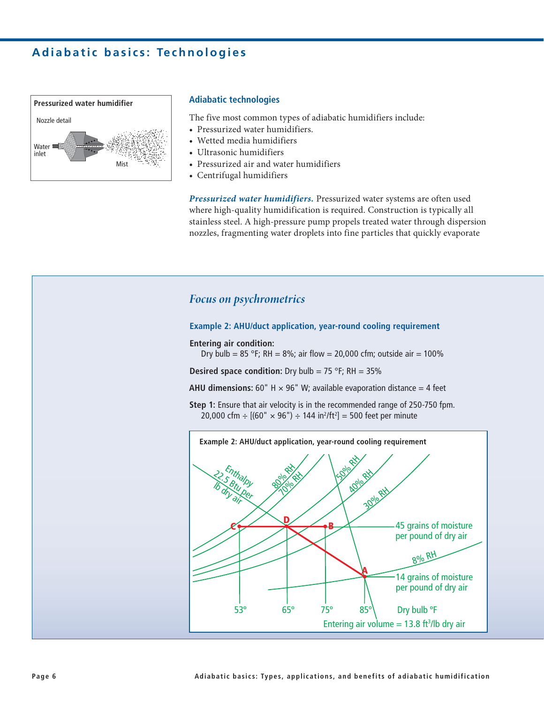

### **Adiabatic technologies**

The five most common types of adiabatic humidifiers include:

- Pressurized water humidifiers.
- Wetted media humidifiers
- Ultrasonic humidifiers
- Pressurized air and water humidifiers
- Centrifugal humidifiers

*Pressurized water humidifiers.* Pressurized water systems are often used where high-quality humidification is required. Construction is typically all stainless steel. A high-pressure pump propels treated water through dispersion nozzles, fragmenting water droplets into fine particles that quickly evaporate

### *Focus on psychrometrics*

#### **Example 2: AHU/duct application, year-round cooling requirement**

**Entering air condition:** 

Dry bulb = 85 °F; RH = 8%; air flow = 20,000 cfm; outside air = 100%

**Desired space condition:** Dry bulb = 75 °F; RH =  $35\%$ 

**AHU dimensions:** 60" H  $\times$  96" W; available evaporation distance = 4 feet

**Step 1:** Ensure that air velocity is in the recommended range of 250-750 fpm. 20,000 cfm  $\div$  [(60"  $\times$  96")  $\div$  144 in<sup>2</sup>/ft<sup>2</sup>] = 500 feet per minute

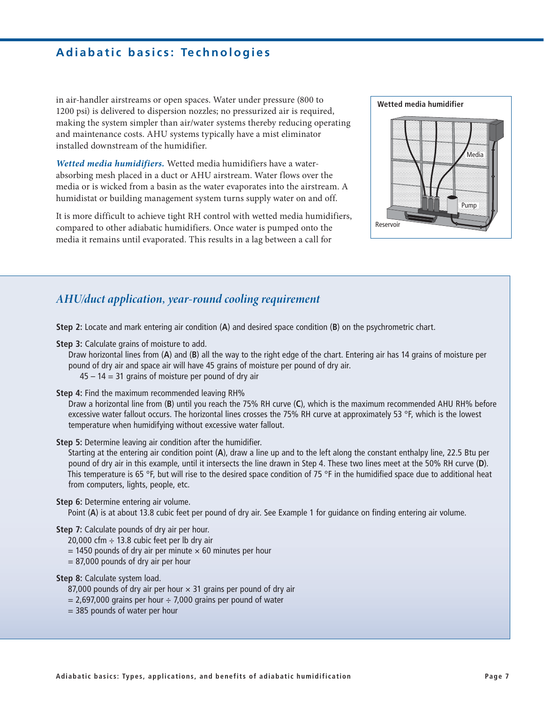in air-handler airstreams or open spaces. Water under pressure (800 to 1200 psi) is delivered to dispersion nozzles; no pressurized air is required, making the system simpler than air/water systems thereby reducing operating and maintenance costs. AHU systems typically have a mist eliminator installed downstream of the humidifier.

*Wetted media humidifiers.* Wetted media humidifiers have a waterabsorbing mesh placed in a duct or AHU airstream. Water flows over the media or is wicked from a basin as the water evaporates into the airstream. A humidistat or building management system turns supply water on and off.

It is more difficult to achieve tight RH control with wetted media humidifiers, compared to other adiabatic humidifiers. Once water is pumped onto the media it remains until evaporated. This results in a lag between a call for



### *AHU/duct application, year-round cooling requirement*

**5tep 2:** Locate and mark entering air condition (A) and desired space condition (B) on the psychrometric chart.

**Step 3:** Calculate grains of moisture to add.

Draw horizontal lines from (**A**) and (**B**) all the way to the right edge of the chart. Entering air has 14 grains of moisture per pound of dry air and space air will have 45 grains of moisture per pound of dry air.

- $45 14 = 31$  grains of moisture per pound of dry air
- **Step 4: Find the maximum recommended leaving RH%**

Draw a horizontal line from (**B**) until you reach the 75% RH curve (**C**), which is the maximum recommended AHU RH% before excessive water fallout occurs. The horizontal lines crosses the 75% RH curve at approximately 53 °F, which is the lowest temperature when humidifying without excessive water fallout.

**Step 5:** Determine leaving air condition after the humidifier.

Starting at the entering air condition point (**A**), draw a line up and to the left along the constant enthalpy line, 22.5 Btu per pound of dry air in this example, until it intersects the line drawn in Step 4. These two lines meet at the 50% RH curve (**D**). This temperature is 65 °F, but will rise to the desired space condition of 75 °F in the humidified space due to additional heat from computers, lights, people, etc.

### **Step 6:** Determine entering air volume.

Point (**A**) is at about 13.8 cubic feet per pound of dry air. See Example 1 for guidance on finding entering air volume.

- **Step 7:** Calculate pounds of dry air per hour.
	- 20,000 cfm  $\div$  13.8 cubic feet per lb dry air
	- $= 1450$  pounds of dry air per minute  $\times$  60 minutes per hour
	- $= 87,000$  pounds of dry air per hour

#### **Step 8:** Calculate system load.

- 87,000 pounds of dry air per hour  $\times$  31 grains per pound of dry air
- $= 2,697,000$  grains per hour  $\div$  7,000 grains per pound of water
- = 385 pounds of water per hour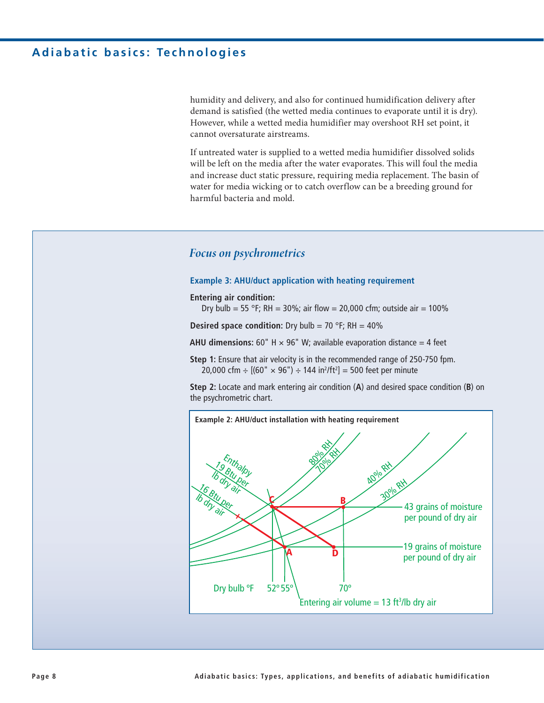humidity and delivery, and also for continued humidification delivery after demand is satisfied (the wetted media continues to evaporate until it is dry). However, while a wetted media humidifier may overshoot RH set point, it cannot oversaturate airstreams.

If untreated water is supplied to a wetted media humidifier dissolved solids will be left on the media after the water evaporates. This will foul the media and increase duct static pressure, requiring media replacement. The basin of water for media wicking or to catch overflow can be a breeding ground for harmful bacteria and mold.

### *Focus on psychrometrics*

#### **Example 3: AHU/duct application with heating requirement**

**Entering air condition:** 

Dry bulb = 55 °F; RH = 30%; air flow = 20,000 cfm; outside air = 100%

**Desired space condition:** Dry bulb = 70 °F; RH = 40%

**AHU dimensions:** 60" H  $\times$  96" W; available evaporation distance = 4 feet

**Step 1:** Ensure that air velocity is in the recommended range of 250-750 fpm. 20,000 cfm ÷ [(60"  $\times$  96") ÷ 144 in<sup>2</sup>/ft<sup>2</sup>] = 500 feet per minute

**5tep 2:** Locate and mark entering air condition (A) and desired space condition (B) on the psychrometric chart.

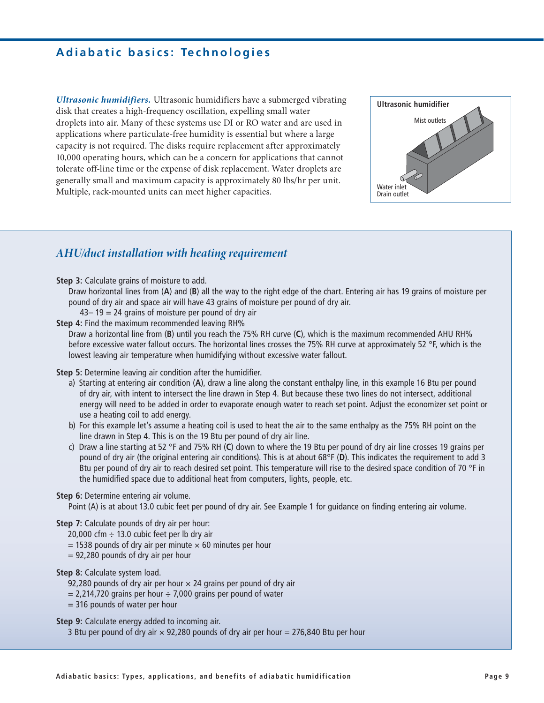*Ultrasonic humidifiers.* Ultrasonic humidifiers have a submerged vibrating disk that creates a high-frequency oscillation, expelling small water droplets into air. Many of these systems use DI or RO water and are used in applications where particulate-free humidity is essential but where a large capacity is not required. The disks require replacement after approximately 10,000 operating hours, which can be a concern for applications that cannot tolerate off-line time or the expense of disk replacement. Water droplets are generally small and maximum capacity is approximately 80 lbs/hr per unit. Multiple, rack-mounted units can meet higher capacities.



### *AHU/duct installation with heating requirement*

**Step 3:** Calculate grains of moisture to add.

Draw horizontal lines from (**A**) and (**B**) all the way to the right edge of the chart. Entering air has 19 grains of moisture per pound of dry air and space air will have 43 grains of moisture per pound of dry air.

- $43 19 = 24$  grains of moisture per pound of dry air
- **Step 4: Find the maximum recommended leaving RH%**

Draw a horizontal line from (**B**) until you reach the 75% RH curve (**C**), which is the maximum recommended AHU RH% before excessive water fallout occurs. The horizontal lines crosses the 75% RH curve at approximately 52 °F, which is the lowest leaving air temperature when humidifying without excessive water fallout.

**Step 5:** Determine leaving air condition after the humidifier.

- a) Starting at entering air condition (**A**), draw a line along the constant enthalpy line, in this example 16 Btu per pound of dry air, with intent to intersect the line drawn in Step 4. But because these two lines do not intersect, additional energy will need to be added in order to evaporate enough water to reach set point. Adjust the economizer set point or use a heating coil to add energy.
- b) For this example let's assume a heating coil is used to heat the air to the same enthalpy as the 75% RH point on the line drawn in Step 4. This is on the 19 Btu per pound of dry air line.
- c) Draw a line starting at 52 °F and 75% RH (**C**) down to where the 19 Btu per pound of dry air line crosses 19 grains per pound of dry air (the original entering air conditions). This is at about 68°F (**D**). This indicates the requirement to add 3 Btu per pound of dry air to reach desired set point. This temperature will rise to the desired space condition of 70 °F in the humidified space due to additional heat from computers, lights, people, etc.

### **Step 6:** Determine entering air volume.

Point (A) is at about 13.0 cubic feet per pound of dry air. See Example 1 for guidance on finding entering air volume.

### **Step 7:** Calculate pounds of dry air per hour:

20,000 cfm  $\div$  13.0 cubic feet per lb dry air

- $=$  1538 pounds of dry air per minute  $\times$  60 minutes per hour
- = 92,280 pounds of dry air per hour

### **Step 8: Calculate system load.**

- 92,280 pounds of dry air per hour  $\times$  24 grains per pound of dry air
- $= 2,214,720$  grains per hour  $\div$  7,000 grains per pound of water
- = 316 pounds of water per hour

**Step 9:** Calculate energy added to incoming air.

3 Btu per pound of dry air  $\times$  92,280 pounds of dry air per hour = 276,840 Btu per hour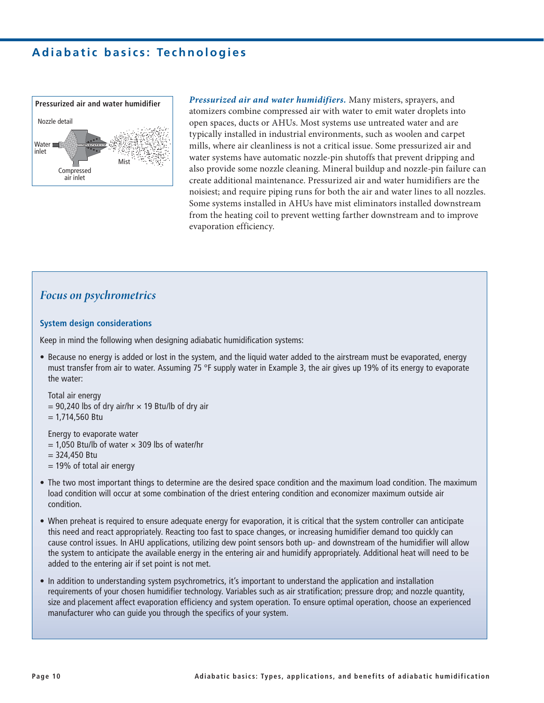

*Pressurized air and water humidifiers.* Many misters, sprayers, and atomizers combine compressed air with water to emit water droplets into open spaces, ducts or AHUs. Most systems use untreated water and are typically installed in industrial environments, such as woolen and carpet mills, where air cleanliness is not a critical issue. Some pressurized air and water systems have automatic nozzle-pin shutoffs that prevent dripping and also provide some nozzle cleaning. Mineral buildup and nozzle-pin failure can create additional maintenance. Pressurized air and water humidifiers are the noisiest; and require piping runs for both the air and water lines to all nozzles. Some systems installed in AHUs have mist eliminators installed downstream from the heating coil to prevent wetting farther downstream and to improve evaporation efficiency.

### *Focus on psychrometrics*

### **System design considerations**

Keep in mind the following when designing adiabatic humidification systems:

• Because no energy is added or lost in the system, and the liquid water added to the airstream must be evaporated, energy must transfer from air to water. Assuming 75 °F supply water in Example 3, the air gives up 19% of its energy to evaporate the water:

```
 Total air energy 
= 90,240 lbs of dry air/hr \times 19 Btu/lb of dry air
= 1,714,560 Btu
```
Energy to evaporate water

- $= 1.050$  Btu/lb of water  $\times$  309 lbs of water/hr
- $= 324.450$  Btu
- $= 19\%$  of total air energy
- The two most important things to determine are the desired space condition and the maximum load condition. The maximum load condition will occur at some combination of the driest entering condition and economizer maximum outside air condition.
- When preheat is required to ensure adequate energy for evaporation, it is critical that the system controller can anticipate this need and react appropriately. Reacting too fast to space changes, or increasing humidifier demand too quickly can cause control issues. In AHU applications, utilizing dew point sensors both up- and downstream of the humidifier will allow the system to anticipate the available energy in the entering air and humidify appropriately. Additional heat will need to be added to the entering air if set point is not met.
- In addition to understanding system psychrometrics, it's important to understand the application and installation requirements of your chosen humidifier technology. Variables such as air stratification; pressure drop; and nozzle quantity, size and placement affect evaporation efficiency and system operation. To ensure optimal operation, choose an experienced manufacturer who can guide you through the specifics of your system.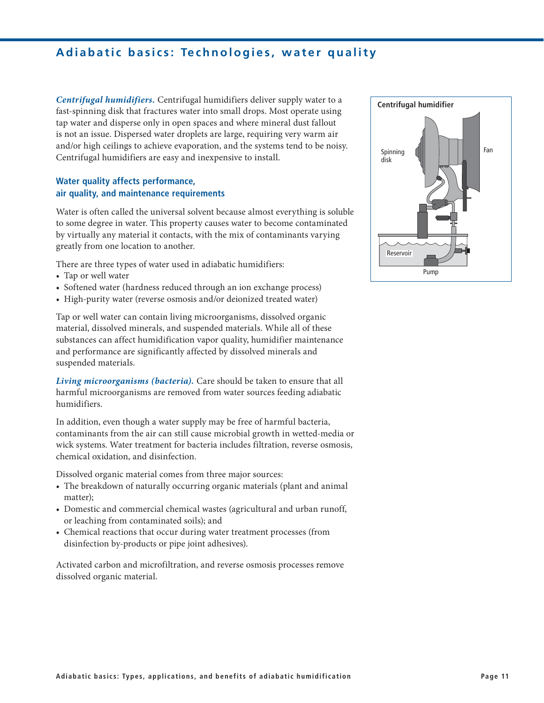# **Adiabatic basics: Technologies, water quality**

*Centrifugal humidifiers.* Centrifugal humidifiers deliver supply water to a fast-spinning disk that fractures water into small drops. Most operate using tap water and disperse only in open spaces and where mineral dust fallout is not an issue. Dispersed water droplets are large, requiring very warm air and/or high ceilings to achieve evaporation, and the systems tend to be noisy. Centrifugal humidifiers are easy and inexpensive to install.

### **Water quality affects performance,** air quality, and maintenance requirements

Water is often called the universal solvent because almost everything is soluble to some degree in water. This property causes water to become contaminated by virtually any material it contacts, with the mix of contaminants varying greatly from one location to another.

There are three types of water used in adiabatic humidifiers:

- Tap or well water
- Softened water (hardness reduced through an ion exchange process)
- High-purity water (reverse osmosis and/or deionized treated water)

Tap or well water can contain living microorganisms, dissolved organic material, dissolved minerals, and suspended materials. While all of these substances can affect humidification vapor quality, humidifier maintenance and performance are significantly affected by dissolved minerals and suspended materials.

*Living microorganisms (bacteria).* Care should be taken to ensure that all harmful microorganisms are removed from water sources feeding adiabatic humidifiers.

In addition, even though a water supply may be free of harmful bacteria, contaminants from the air can still cause microbial growth in wetted-media or wick systems. Water treatment for bacteria includes filtration, reverse osmosis, chemical oxidation, and disinfection.

Dissolved organic material comes from three major sources:

- The breakdown of naturally occurring organic materials (plant and animal matter);
- Domestic and commercial chemical wastes (agricultural and urban runoff, or leaching from contaminated soils); and
- Chemical reactions that occur during water treatment processes (from disinfection by-products or pipe joint adhesives).

Activated carbon and microfiltration, and reverse osmosis processes remove dissolved organic material.

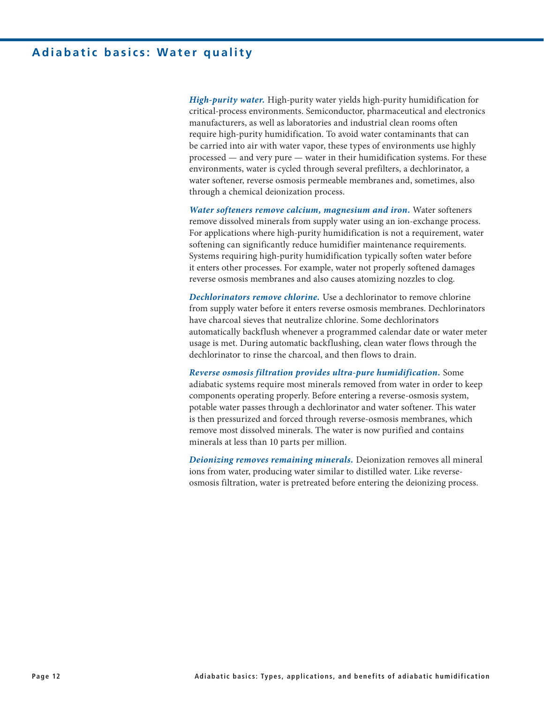## **Adiabatic basics: Water quality**

*High-purity water.* High-purity water yields high-purity humidification for critical-process environments. Semiconductor, pharmaceutical and electronics manufacturers, as well as laboratories and industrial clean rooms often require high-purity humidification. To avoid water contaminants that can be carried into air with water vapor, these types of environments use highly processed — and very pure — water in their humidification systems. For these environments, water is cycled through several prefilters, a dechlorinator, a water softener, reverse osmosis permeable membranes and, sometimes, also through a chemical deionization process.

*Water softeners remove calcium, magnesium and iron.* Water softeners remove dissolved minerals from supply water using an ion-exchange process. For applications where high-purity humidification is not a requirement, water softening can significantly reduce humidifier maintenance requirements. Systems requiring high-purity humidification typically soften water before it enters other processes. For example, water not properly softened damages reverse osmosis membranes and also causes atomizing nozzles to clog.

*Dechlorinators remove chlorine.* Use a dechlorinator to remove chlorine from supply water before it enters reverse osmosis membranes. Dechlorinators have charcoal sieves that neutralize chlorine. Some dechlorinators automatically backflush whenever a programmed calendar date or water meter usage is met. During automatic backflushing, clean water flows through the dechlorinator to rinse the charcoal, and then flows to drain.

*Reverse osmosis filtration provides ultra-pure humidification.* Some adiabatic systems require most minerals removed from water in order to keep components operating properly. Before entering a reverse-osmosis system, potable water passes through a dechlorinator and water softener. This water is then pressurized and forced through reverse-osmosis membranes, which remove most dissolved minerals. The water is now purified and contains minerals at less than 10 parts per million.

*Deionizing removes remaining minerals.* Deionization removes all mineral ions from water, producing water similar to distilled water. Like reverseosmosis filtration, water is pretreated before entering the deionizing process.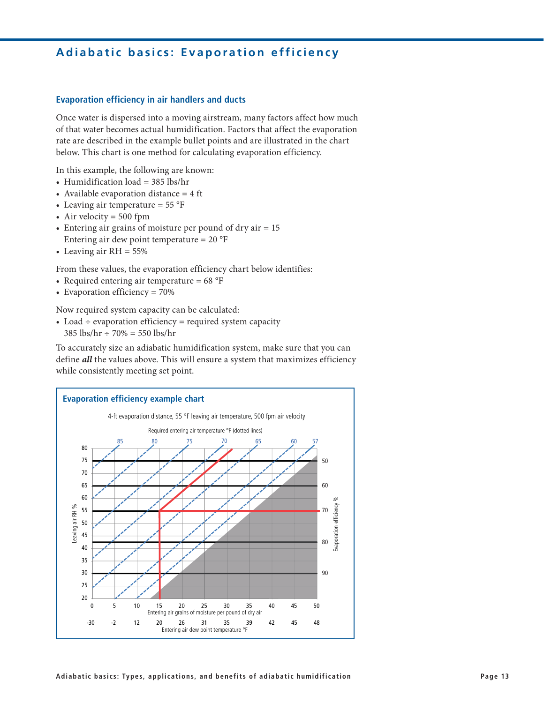# **Adiabatic basics: Evaporation efficiency**

### **Evaporation efficiency in air handlers and ducts**

Once water is dispersed into a moving airstream, many factors affect how much of that water becomes actual humidification. Factors that affect the evaporation rate are described in the example bullet points and are illustrated in the chart below. This chart is one method for calculating evaporation efficiency.

In this example, the following are known:

- Humidification  $load = 385$  lbs/hr
- Available evaporation distance  $= 4$  ft
- Leaving air temperature =  $55^{\circ}F$
- Air velocity  $= 500$  fpm
- Entering air grains of moisture per pound of dry air  $= 15$ Entering air dew point temperature =  $20^{\circ}F$
- Leaving air  $RH = 55\%$

From these values, the evaporation efficiency chart below identifies:

- Required entering air temperature =  $68^{\circ}F$
- Evaporation efficiency =  $70\%$

Now required system capacity can be calculated:

• Load  $\div$  evaporation efficiency = required system capacity  $385 \text{ lbs/hr} \div 70\% = 550 \text{ lbs/hr}$ 

To accurately size an adiabatic humidification system, make sure that you can define *all* the values above. This will ensure a system that maximizes efficiency while consistently meeting set point.

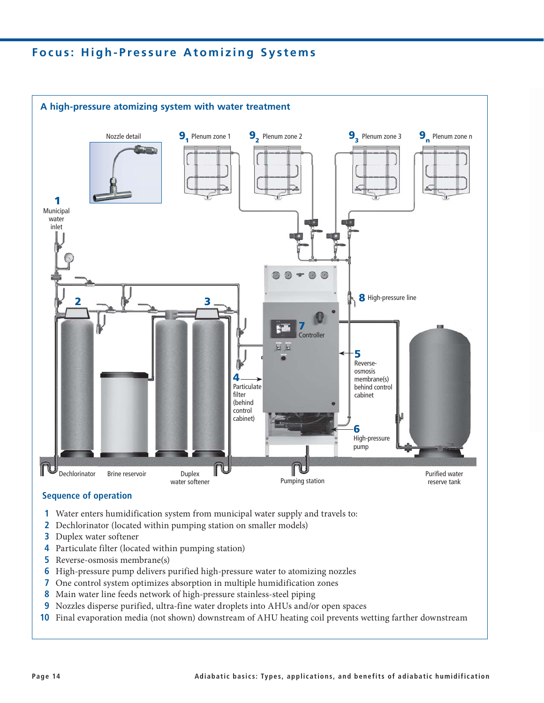# **Focus: High-Pressure Atomizing Systems**



### **Sequence of operation**

- **1** Water enters humidification system from municipal water supply and travels to:
- **2** Dechlorinator (located within pumping station on smaller models)
- **3** Duplex water softener
- **4** Particulate filter (located within pumping station)
- **5** Reverse-osmosis membrane(s)
- High-pressure pump delivers purified high-pressure water to atomizing nozzles
- **7** One control system optimizes absorption in multiple humidification zones
- Main water line feeds network of high-pressure stainless-steel piping
- **9** Nozzles disperse purified, ultra-fine water droplets into AHUs and/or open spaces
- **10** Final evaporation media (not shown) downstream of AHU heating coil prevents wetting farther downstream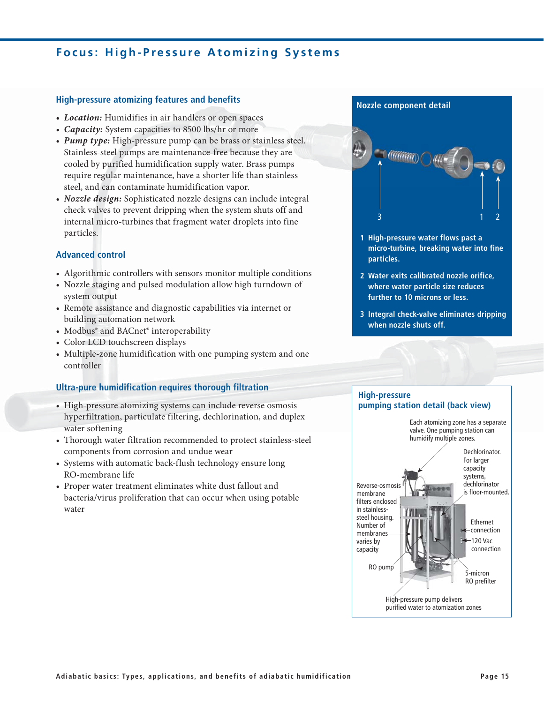# **Focus: High-Pressure Atomizing Systems**

### **High-pressure atomizing features and benefits**

- Location: Humidifies in air handlers or open spaces
- Capacity: System capacities to 8500 lbs/hr or more
- Pump type: High-pressure pump can be brass or stainless steel. Stainless-steel pumps are maintenance-free because they are cooled by purified humidification supply water. Brass pumps require regular maintenance, have a shorter life than stainless steel, and can contaminate humidification vapor.
- *Nozzle design:* Sophisticated nozzle designs can include integral check valves to prevent dripping when the system shuts off and internal micro-turbines that fragment water droplets into fine particles.

### **Advanced control**

- Algorithmic controllers with sensors monitor multiple conditions
- Nozzle staging and pulsed modulation allow high turndown of system output
- Remote assistance and diagnostic capabilities via internet or building automation network
- Modbus® and BACnet® interoperability
- Color LCD touchscreen displays
- Multiple-zone humidification with one pumping system and one controller

### **Ultra-pure humidification requires thorough filtration**

- High-pressure atomizing systems can include reverse osmosis hyperfiltration, particulate filtering, dechlorination, and duplex water softening
- Thorough water filtration recommended to protect stainless-steel components from corrosion and undue wear
- Systems with automatic back-flush technology ensure long RO-membrane life
- Proper water treatment eliminates white dust fallout and bacteria/virus proliferation that can occur when using potable water

#### **Nozzle component detail**



- **1 High-pressure water flows past a** micro-turbine, breaking water into fine **particles.**
- **2 Water exits calibrated nozzle orifice. Where water particle size reduces further to 10 microns or less.**
- **3** Integral check-valve eliminates dripping when nozzle shuts off.